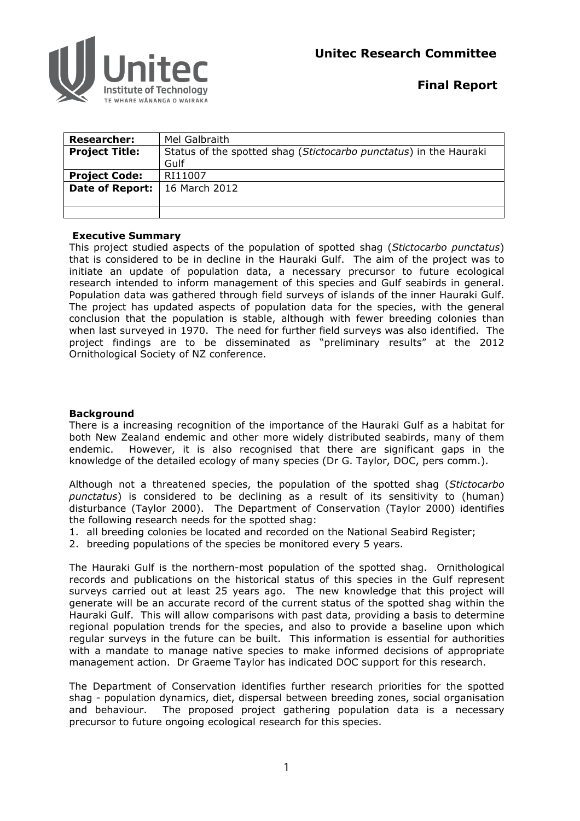



**Final Report** 

| <b>Researcher:</b>     | Mel Galbraith                                                     |
|------------------------|-------------------------------------------------------------------|
| <b>Project Title:</b>  | Status of the spotted shag (Stictocarbo punctatus) in the Hauraki |
|                        | Gulf                                                              |
| <b>Project Code:</b>   | RI11007                                                           |
| <b>Date of Report:</b> | 16 March 2012                                                     |
|                        |                                                                   |
|                        |                                                                   |

# **Executive Summary**

This project studied aspects of the population of spotted shag (*Stictocarbo punctatus*) that is considered to be in decline in the Hauraki Gulf. The aim of the project was to initiate an update of population data, a necessary precursor to future ecological research intended to inform management of this species and Gulf seabirds in general. Population data was gathered through field surveys of islands of the inner Hauraki Gulf. The project has updated aspects of population data for the species, with the general conclusion that the population is stable, although with fewer breeding colonies than when last surveyed in 1970. The need for further field surveys was also identified. The project findings are to be disseminated as "preliminary results" at the 2012 Ornithological Society of NZ conference.

# **Background**

There is a increasing recognition of the importance of the Hauraki Gulf as a habitat for both New Zealand endemic and other more widely distributed seabirds, many of them endemic. However, it is also recognised that there are significant gaps in the knowledge of the detailed ecology of many species (Dr G. Taylor, DOC, pers comm.).

Although not a threatened species, the population of the spotted shag (*Stictocarbo punctatus*) is considered to be declining as a result of its sensitivity to (human) disturbance (Taylor 2000). The Department of Conservation (Taylor 2000) identifies the following research needs for the spotted shag:

- 1. all breeding colonies be located and recorded on the National Seabird Register;
- 2. breeding populations of the species be monitored every 5 years.

The Hauraki Gulf is the northern-most population of the spotted shag. Ornithological records and publications on the historical status of this species in the Gulf represent surveys carried out at least 25 years ago. The new knowledge that this project will generate will be an accurate record of the current status of the spotted shag within the Hauraki Gulf. This will allow comparisons with past data, providing a basis to determine regional population trends for the species, and also to provide a baseline upon which regular surveys in the future can be built. This information is essential for authorities with a mandate to manage native species to make informed decisions of appropriate management action. Dr Graeme Taylor has indicated DOC support for this research.

The Department of Conservation identifies further research priorities for the spotted shag - population dynamics, diet, dispersal between breeding zones, social organisation and behaviour. The proposed project gathering population data is a necessary precursor to future ongoing ecological research for this species.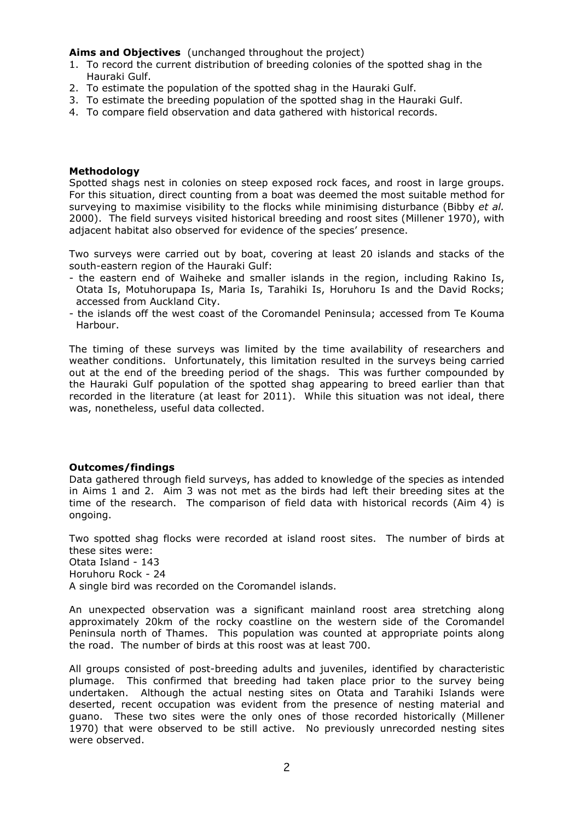**Aims and Objectives** (unchanged throughout the project)

- 1. To record the current distribution of breeding colonies of the spotted shag in the Hauraki Gulf.
- 2. To estimate the population of the spotted shag in the Hauraki Gulf.
- 3. To estimate the breeding population of the spotted shag in the Hauraki Gulf.
- 4. To compare field observation and data gathered with historical records.

#### **Methodology**

Spotted shags nest in colonies on steep exposed rock faces, and roost in large groups. For this situation, direct counting from a boat was deemed the most suitable method for surveying to maximise visibility to the flocks while minimising disturbance (Bibby *et al.* 2000). The field surveys visited historical breeding and roost sites (Millener 1970), with adjacent habitat also observed for evidence of the species' presence.

Two surveys were carried out by boat, covering at least 20 islands and stacks of the south-eastern region of the Hauraki Gulf:

- the eastern end of Waiheke and smaller islands in the region, including Rakino Is, Otata Is, Motuhorupapa Is, Maria Is, Tarahiki Is, Horuhoru Is and the David Rocks; accessed from Auckland City.
- the islands off the west coast of the Coromandel Peninsula; accessed from Te Kouma Harbour.

The timing of these surveys was limited by the time availability of researchers and weather conditions. Unfortunately, this limitation resulted in the surveys being carried out at the end of the breeding period of the shags. This was further compounded by the Hauraki Gulf population of the spotted shag appearing to breed earlier than that recorded in the literature (at least for 2011). While this situation was not ideal, there was, nonetheless, useful data collected.

#### **Outcomes/findings**

Data gathered through field surveys, has added to knowledge of the species as intended in Aims 1 and 2. Aim 3 was not met as the birds had left their breeding sites at the time of the research. The comparison of field data with historical records (Aim 4) is ongoing.

Two spotted shag flocks were recorded at island roost sites. The number of birds at these sites were: Otata Island - 143 Horuhoru Rock - 24 A single bird was recorded on the Coromandel islands.

An unexpected observation was a significant mainland roost area stretching along approximately 20km of the rocky coastline on the western side of the Coromandel Peninsula north of Thames. This population was counted at appropriate points along the road. The number of birds at this roost was at least 700.

All groups consisted of post-breeding adults and juveniles, identified by characteristic plumage. This confirmed that breeding had taken place prior to the survey being undertaken. Although the actual nesting sites on Otata and Tarahiki Islands were deserted, recent occupation was evident from the presence of nesting material and guano. These two sites were the only ones of those recorded historically (Millener 1970) that were observed to be still active. No previously unrecorded nesting sites were observed.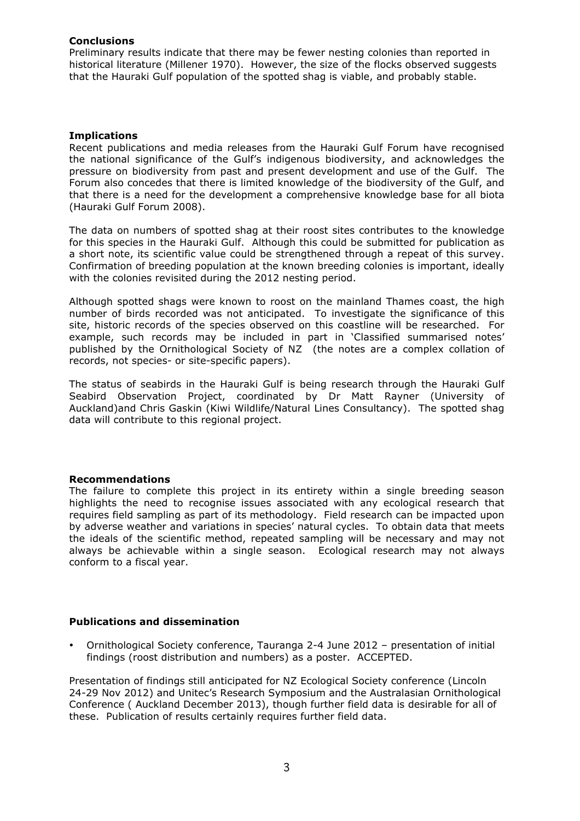# **Conclusions**

Preliminary results indicate that there may be fewer nesting colonies than reported in historical literature (Millener 1970). However, the size of the flocks observed suggests that the Hauraki Gulf population of the spotted shag is viable, and probably stable.

### **Implications**

Recent publications and media releases from the Hauraki Gulf Forum have recognised the national significance of the Gulf's indigenous biodiversity, and acknowledges the pressure on biodiversity from past and present development and use of the Gulf. The Forum also concedes that there is limited knowledge of the biodiversity of the Gulf, and that there is a need for the development a comprehensive knowledge base for all biota (Hauraki Gulf Forum 2008).

The data on numbers of spotted shag at their roost sites contributes to the knowledge for this species in the Hauraki Gulf. Although this could be submitted for publication as a short note, its scientific value could be strengthened through a repeat of this survey. Confirmation of breeding population at the known breeding colonies is important, ideally with the colonies revisited during the 2012 nesting period.

Although spotted shags were known to roost on the mainland Thames coast, the high number of birds recorded was not anticipated. To investigate the significance of this site, historic records of the species observed on this coastline will be researched. For example, such records may be included in part in 'Classified summarised notes' published by the Ornithological Society of NZ (the notes are a complex collation of records, not species- or site-specific papers).

The status of seabirds in the Hauraki Gulf is being research through the Hauraki Gulf Seabird Observation Project, coordinated by Dr Matt Rayner (University of Auckland)and Chris Gaskin (Kiwi Wildlife/Natural Lines Consultancy). The spotted shag data will contribute to this regional project.

#### **Recommendations**

The failure to complete this project in its entirety within a single breeding season highlights the need to recognise issues associated with any ecological research that requires field sampling as part of its methodology. Field research can be impacted upon by adverse weather and variations in species' natural cycles. To obtain data that meets the ideals of the scientific method, repeated sampling will be necessary and may not always be achievable within a single season. Ecological research may not always conform to a fiscal year.

# **Publications and dissemination**

• Ornithological Society conference, Tauranga 2-4 June 2012 – presentation of initial findings (roost distribution and numbers) as a poster. ACCEPTED.

Presentation of findings still anticipated for NZ Ecological Society conference (Lincoln 24-29 Nov 2012) and Unitec's Research Symposium and the Australasian Ornithological Conference ( Auckland December 2013), though further field data is desirable for all of these. Publication of results certainly requires further field data.